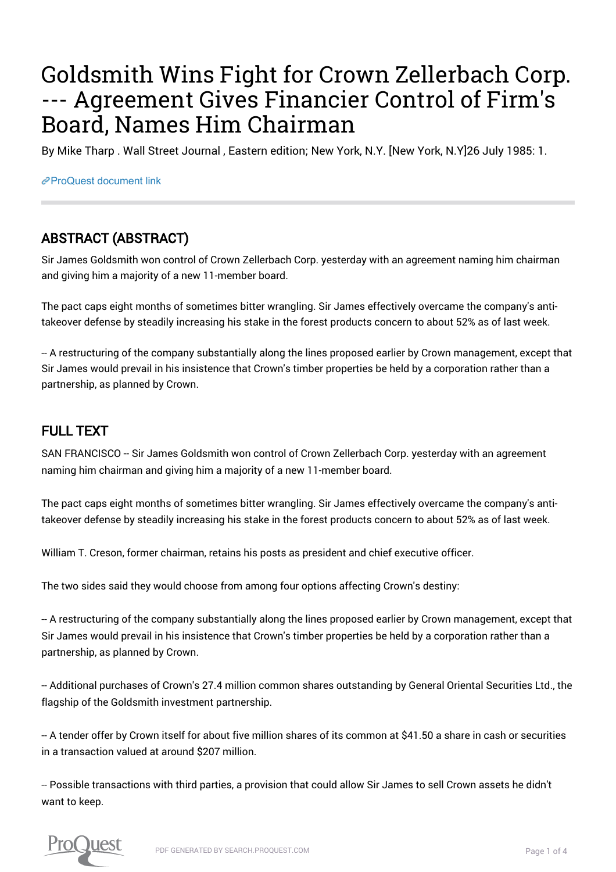## Goldsmith Wins Fight for Crown Zellerbach Corp. --- Agreement Gives Financier Control of Firm's Board, Names Him Chairman

By Mike Tharp . Wall Street Journal , Eastern edition; New York, N.Y. [New York, N.Y]26 July 1985: 1.

[ProQuest document link](https://proxy.library.upenn.edu/login?url=https://search.proquest.com/docview/397961446?accountid=14707)

## ABSTRACT (ABSTRACT)

Sir James Goldsmith won control of Crown Zellerbach Corp. yesterday with an agreement naming him chairman and giving him a majority of a new 11-member board.

The pact caps eight months of sometimes bitter wrangling. Sir James effectively overcame the company's antitakeover defense by steadily increasing his stake in the forest products concern to about 52% as of last week.

-- A restructuring of the company substantially along the lines proposed earlier by Crown management, except that Sir James would prevail in his insistence that Crown's timber properties be held by a corporation rather than a partnership, as planned by Crown.

## FULL TEXT

SAN FRANCISCO -- Sir James Goldsmith won control of Crown Zellerbach Corp. yesterday with an agreement naming him chairman and giving him a majority of a new 11-member board.

The pact caps eight months of sometimes bitter wrangling. Sir James effectively overcame the company's antitakeover defense by steadily increasing his stake in the forest products concern to about 52% as of last week.

William T. Creson, former chairman, retains his posts as president and chief executive officer.

The two sides said they would choose from among four options affecting Crown's destiny:

-- A restructuring of the company substantially along the lines proposed earlier by Crown management, except that Sir James would prevail in his insistence that Crown's timber properties be held by a corporation rather than a partnership, as planned by Crown.

-- Additional purchases of Crown's 27.4 million common shares outstanding by General Oriental Securities Ltd., the flagship of the Goldsmith investment partnership.

-- A tender offer by Crown itself for about five million shares of its common at \$41.50 a share in cash or securities in a transaction valued at around \$207 million.

-- Possible transactions with third parties, a provision that could allow Sir James to sell Crown assets he didn't want to keep.



PDF GENERATED BY SEARCH.PROQUEST.COM **Page 1 of 4** and 2 of 4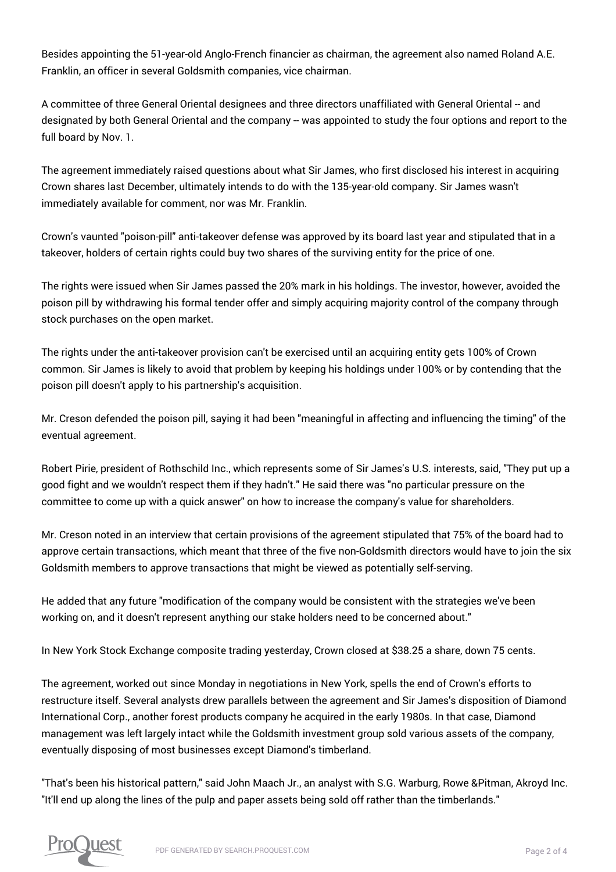Besides appointing the 51-year-old Anglo-French financier as chairman, the agreement also named Roland A.E. Franklin, an officer in several Goldsmith companies, vice chairman.

A committee of three General Oriental designees and three directors unaffiliated with General Oriental -- and designated by both General Oriental and the company -- was appointed to study the four options and report to the full board by Nov. 1.

The agreement immediately raised questions about what Sir James, who first disclosed his interest in acquiring Crown shares last December, ultimately intends to do with the 135-year-old company. Sir James wasn't immediately available for comment, nor was Mr. Franklin.

Crown's vaunted "poison-pill" anti-takeover defense was approved by its board last year and stipulated that in a takeover, holders of certain rights could buy two shares of the surviving entity for the price of one.

The rights were issued when Sir James passed the 20% mark in his holdings. The investor, however, avoided the poison pill by withdrawing his formal tender offer and simply acquiring majority control of the company through stock purchases on the open market.

The rights under the anti-takeover provision can't be exercised until an acquiring entity gets 100% of Crown common. Sir James is likely to avoid that problem by keeping his holdings under 100% or by contending that the poison pill doesn't apply to his partnership's acquisition.

Mr. Creson defended the poison pill, saying it had been "meaningful in affecting and influencing the timing" of the eventual agreement.

Robert Pirie, president of Rothschild Inc., which represents some of Sir James's U.S. interests, said, "They put up a good fight and we wouldn't respect them if they hadn't." He said there was "no particular pressure on the committee to come up with a quick answer" on how to increase the company's value for shareholders.

Mr. Creson noted in an interview that certain provisions of the agreement stipulated that 75% of the board had to approve certain transactions, which meant that three of the five non-Goldsmith directors would have to join the six Goldsmith members to approve transactions that might be viewed as potentially self-serving.

He added that any future "modification of the company would be consistent with the strategies we've been working on, and it doesn't represent anything our stake holders need to be concerned about."

In New York Stock Exchange composite trading yesterday, Crown closed at \$38.25 a share, down 75 cents.

The agreement, worked out since Monday in negotiations in New York, spells the end of Crown's efforts to restructure itself. Several analysts drew parallels between the agreement and Sir James's disposition of Diamond International Corp., another forest products company he acquired in the early 1980s. In that case, Diamond management was left largely intact while the Goldsmith investment group sold various assets of the company, eventually disposing of most businesses except Diamond's timberland.

"That's been his historical pattern," said John Maach Jr., an analyst with S.G. Warburg, Rowe &Pitman, Akroyd Inc. "It'll end up along the lines of the pulp and paper assets being sold off rather than the timberlands."

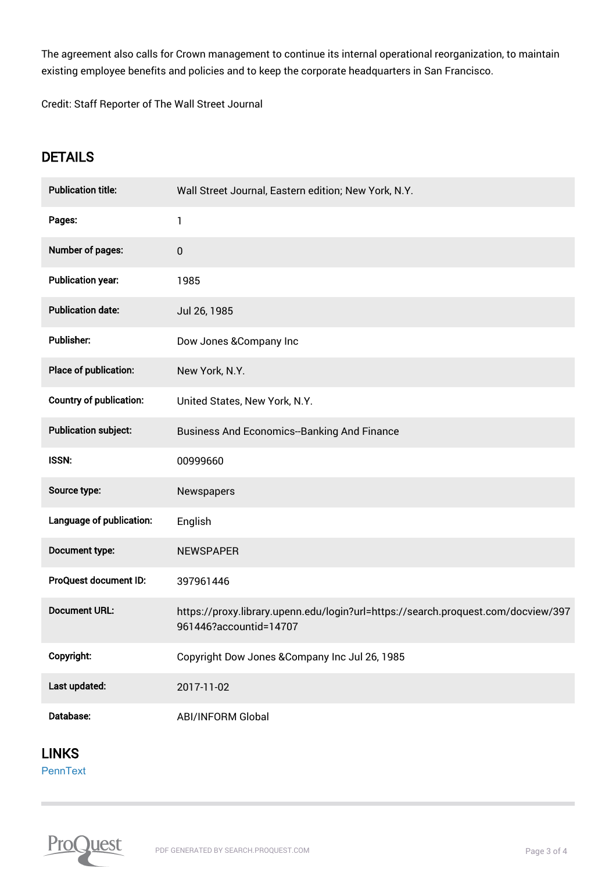The agreement also calls for Crown management to continue its internal operational reorganization, to maintain existing employee benefits and policies and to keep the corporate headquarters in San Francisco.

Credit: Staff Reporter of The Wall Street Journal

## **DETAILS**

| <b>Publication title:</b>      | Wall Street Journal, Eastern edition; New York, N.Y.                                                        |
|--------------------------------|-------------------------------------------------------------------------------------------------------------|
| Pages:                         | 1                                                                                                           |
| Number of pages:               | 0                                                                                                           |
| <b>Publication year:</b>       | 1985                                                                                                        |
| <b>Publication date:</b>       | Jul 26, 1985                                                                                                |
| Publisher:                     | Dow Jones & Company Inc                                                                                     |
| Place of publication:          | New York, N.Y.                                                                                              |
| <b>Country of publication:</b> | United States, New York, N.Y.                                                                               |
| <b>Publication subject:</b>    | <b>Business And Economics--Banking And Finance</b>                                                          |
| <b>ISSN:</b>                   | 00999660                                                                                                    |
| Source type:                   | Newspapers                                                                                                  |
| Language of publication:       | English                                                                                                     |
| Document type:                 | <b>NEWSPAPER</b>                                                                                            |
| ProQuest document ID:          | 397961446                                                                                                   |
| <b>Document URL:</b>           | https://proxy.library.upenn.edu/login?url=https://search.proquest.com/docview/397<br>961446?accountid=14707 |
| Copyright:                     | Copyright Dow Jones & Company Inc Jul 26, 1985                                                              |
| Last updated:                  | 2017-11-02                                                                                                  |
| Database:                      | <b>ABI/INFORM Global</b>                                                                                    |

LINKS

**[PennText](https://upenn.alma.exlibrisgroup.com/discovery/openurl?institution=01UPENN_INST&vid=01UPENN_INST:Services&ctx_ver=Z39.88-2004&rft.genre=unknown&ctx_enc=info:ofi/enc:UTF-8&url_ver=Z39.88-2004&url_ctx_fmt=infofi/fmt:kev:mtx:ctx&rfr_id=info:sid/primo.exlibrisgroup.com:primo4-article-cLinker&rft_val_fmt=info:ofi/fmt:kev:mtx:article&isCitationLinker=Y&rft.date=1985&rft.atitle=Goldsmith%20Wins%20Fight%20for%20Crown%20Zellerbach%20Corp.%20---%20Agreement%20Gives%20Financier%20Control%20of%20Firm)**